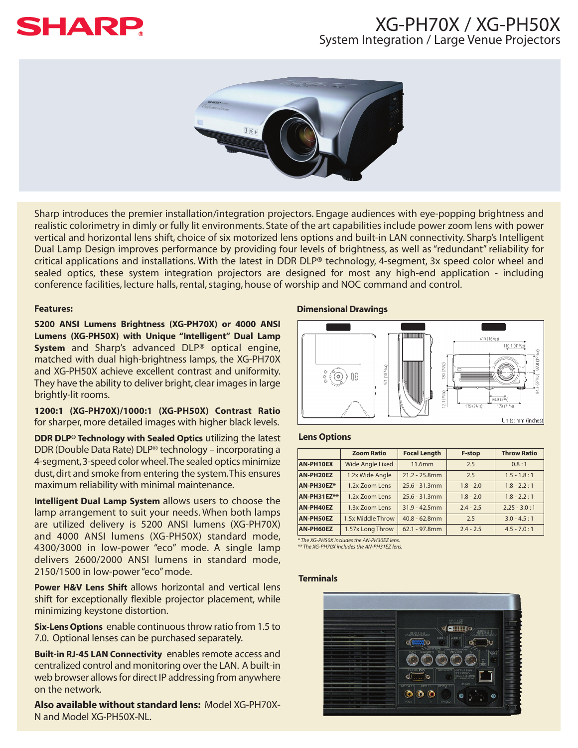# **SHARP**

### XG-PH70X / XG-PH50X System Integration / Large Venue Projectors



Sharp introduces the premier installation/integration projectors. Engage audiences with eye-popping brightness and realistic colorimetry in dimly or fully lit environments. State of the art capabilities include power zoom lens with power vertical and horizontal lens shift, choice of six motorized lens options and built-in LAN connectivity. Sharp's Intelligent Dual Lamp Design improves performance by providing four levels of brightness, as well as "redundant" reliability for critical applications and installations. With the latest in DDR DLP® technology, 4-segment, 3x speed color wheel and sealed optics, these system integration projectors are designed for most any high-end application - including conference facilities, lecture halls, rental, staging, house of worship and NOC command and control.

#### **Features:**

**5200 ANSI Lumens Brightness (XG-PH70X) or 4000 ANSI Lumens (XG-PH50X) with Unique "Intelligent" Dual Lamp System** and Sharp's advanced DLP® optical engine, matched with dual high-brightness lamps, the XG-PH70X and XG-PH50X achieve excellent contrast and uniformity. They have the ability to deliver bright, clear images in large brightly-lit rooms.

**1200:1 (XG-PH70X)/1000:1 (XG-PH50X) Contrast Ratio** for sharper, more detailed images with higher black levels.

**DDR DLP® Technology with Sealed Optics** utilizing the latest DDR (Double Data Rate) DLP® technology – incorporating a 4-segment,3-speed color wheel.The sealed optics minimize dust, dirt and smoke from entering the system.This ensures maximum reliability with minimal maintenance.

**Intelligent Dual Lamp System** allows users to choose the lamp arrangement to suit your needs. When both lamps are utilized delivery is 5200 ANSI lumens (XG-PH70X) and 4000 ANSI lumens (XG-PH50X) standard mode, 4300/3000 in low-power "eco" mode. A single lamp delivers 2600/2000 ANSI lumens in standard mode, 2150/1500 in low-power "eco" mode.

**Power H&V Lens Shift** allows horizontal and vertical lens shift for exceptionally flexible projector placement, while minimizing keystone distortion.

**Six-Lens Options** enable continuous throw ratio from 1.5 to 7.0. Optional lenses can be purchased separately.

**Built-in RJ-45 LAN Connectivity** enables remote access and centralized control and monitoring over the LAN. A built-in web browser allows for direct IP addressing from anywhere on the network.

**Also available without standard lens:** Model XG-PH70X-N and Model XG-PH50X-NL.

#### **Dimensional Drawings**



#### **Lens Options**

|                    | <b>Zoom Ratio</b>       | <b>Focal Length</b> | F-stop      | <b>Throw Ratio</b> |
|--------------------|-------------------------|---------------------|-------------|--------------------|
| AN-PH10EX          | <b>Wide Angle Fixed</b> | 11.6mm              | 2.5         | 0.8:1              |
| AN-PH20EZ          | 1.2x Wide Angle         | $21.2 - 25.8$ mm    | 2.5         | $1.5 - 1.8 : 1$    |
| AN-PH30EZ*         | 1.2x Zoom Lens          | $25.6 - 31.3$ mm    | $1.8 - 2.0$ | $1.8 - 2.2 : 1$    |
| <b>AN-PH31EZ**</b> | 1.2x Zoom Lens          | $25.6 - 31.3$ mm    | $1.8 - 2.0$ | $1.8 - 2.2 : 1$    |
| AN-PH40EZ          | 1.3x Zoom Lens          | $31.9 - 42.5$ mm    | $2.4 - 2.5$ | $2.25 - 3.0 : 1$   |
| AN-PH50EZ          | 1.5x Middle Throw       | $40.8 - 62.8$ mm    | 2.5         | $3.0 - 4.5 : 1$    |
| AN-PH60EZ          | 1.57x Long Throw        | $62.1 - 97.8$ mm    | $2.4 - 2.5$ | $4.5 - 7.0 : 1$    |

*\* The XG-PH50X includes the AN-PH30EZ lens.*

*\*\* The XG-PH70X includes the AN-PH31EZ lens.*

#### **Terminals**